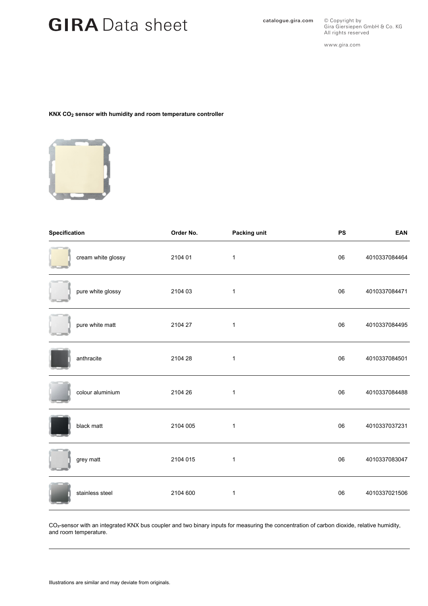# GIRA Data sheet **Catalogue.gira.com**

All rights reserved www.gira.com

Gira Giersiepen GmbH & Co. KG

© Copyright by

## **KNX CO2 sensor with humidity and room temperature controller**



| Specification |                    | Order No. | Packing unit | <b>PS</b> | <b>EAN</b>    |
|---------------|--------------------|-----------|--------------|-----------|---------------|
|               | cream white glossy | 2104 01   | $\mathbf{1}$ | 06        | 4010337084464 |
|               | pure white glossy  | 2104 03   | $\mathbf{1}$ | 06        | 4010337084471 |
|               | pure white matt    | 2104 27   | 1            | 06        | 4010337084495 |
|               | anthracite         | 2104 28   | $\mathbf{1}$ | 06        | 4010337084501 |
|               | colour aluminium   | 2104 26   | 1            | 06        | 4010337084488 |
|               | black matt         | 2104 005  | $\mathbf{1}$ | 06        | 4010337037231 |
|               | grey matt          | 2104 015  | $\mathbf{1}$ | 06        | 4010337083047 |
|               | stainless steel    | 2104 600  | $\mathbf{1}$ | 06        | 4010337021506 |

CO<sub>2</sub>-sensor with an integrated KNX bus coupler and two binary inputs for measuring the concentration of carbon dioxide, relative humidity, and room temperature.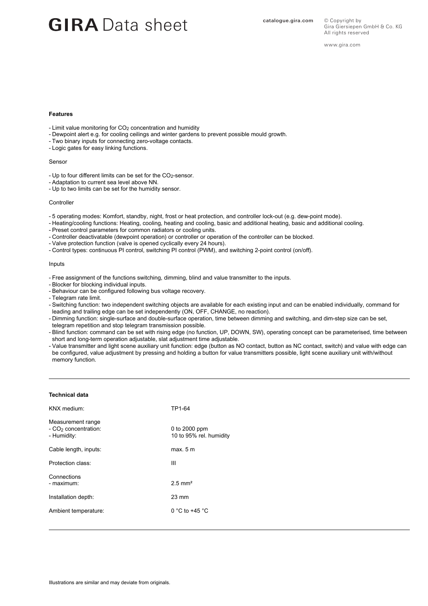# GIRA Data sheet **Catalogue.gira.com**

www.gira.com

### **Features**

- Limit value monitoring for CO<sub>2</sub> concentration and humidity
- Dewpoint alert e.g. for cooling ceilings and winter gardens to prevent possible mould growth.
- Two binary inputs for connecting zero-voltage contacts.
- Logic gates for easy linking functions.

### Sensor

- Up to four different limits can be set for the CO<sub>2</sub>-sensor.
- Adaptation to current sea level above NN.
- Up to two limits can be set for the humidity sensor.

### Controller

- 5 operating modes: Komfort, standby, night, frost or heat protection, and controller lock-out (e.g. dew-point mode).
- Heating/cooling functions: Heating, cooling, heating and cooling, basic and additional heating, basic and additional cooling.
- Preset control parameters for common radiators or cooling units.
- Controller deactivatable (dewpoint operation) or controller or operation of the controller can be blocked.
- Valve protection function (valve is opened cyclically every 24 hours).
- Control types: continuous PI control, switching PI control (PWM), and switching 2-point control (on/off).

#### Inputs

- Free assignment of the functions switching, dimming, blind and value transmitter to the inputs.
- Blocker for blocking individual inputs.
- Behaviour can be configured following bus voltage recovery.
- Telegram rate limit.
- Switching function: two independent switching objects are available for each existing input and can be enabled individually, command for leading and trailing edge can be set independently (ON, OFF, CHANGE, no reaction).
- Dimming function: single-surface and double-surface operation, time between dimming and switching, and dim-step size can be set, telegram repetition and stop telegram transmission possible.
- Blind function: command can be set with rising edge (no function, UP, DOWN, SW), operating concept can be parameterised, time between short and long-term operation adjustable, slat adjustment time adjustable.
- Value transmitter and light scene auxiliary unit function: edge (button as NO contact, button as NC contact, switch) and value with edge can be configured, value adjustment by pressing and holding a button for value transmitters possible, light scene auxiliary unit with/without memory function.

#### **Technical data**

| KNX medium:                                                          | TP1-64                                   |
|----------------------------------------------------------------------|------------------------------------------|
| Measurement range<br>- CO <sub>2</sub> concentration:<br>- Humidity: | 0 to 2000 ppm<br>10 to 95% rel. humidity |
| Cable length, inputs:                                                | max. 5 m                                 |
| Protection class:                                                    | Ш                                        |
| Connections<br>- maximum:                                            | $2.5$ mm <sup>2</sup>                    |
| Installation depth:                                                  | $23 \text{ mm}$                          |
| Ambient temperature:                                                 | 0 °C to +45 °C                           |
|                                                                      |                                          |